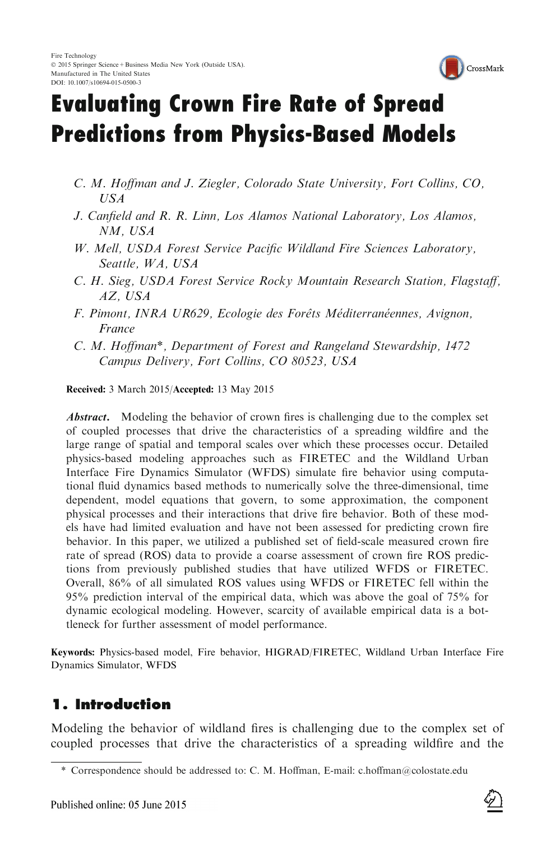

# Evaluating Crown Fire Rate of Spread Predictions from Physics-Based Models

- C. M. Hoffman and J. Ziegler, Colorado State University, Fort Collins, CO, USA
- J. Canfield and R. R. Linn, Los Alamos National Laboratory, Los Alamos, NM, USA
- W. Mell, USDA Forest Service Pacific Wildland Fire Sciences Laboratory, Seattle, WA, USA
- C. H. Sieg, USDA Forest Service Rocky Mountain Research Station, Flagstaff, AZ, USA
- F. Pimont, INRA UR629, Ecologie des Forêts Méditerranéennes, Avignon, France
- C. M. Hoffman\*, Department of Forest and Rangeland Stewardship, 1472 Campus Delivery, Fort Collins, CO 80523, USA

Received: 3 March 2015/Accepted: 13 May 2015

Abstract. Modeling the behavior of crown fires is challenging due to the complex set of coupled processes that drive the characteristics of a spreading wildfire and the large range of spatial and temporal scales over which these processes occur. Detailed physics-based modeling approaches such as FIRETEC and the Wildland Urban Interface Fire Dynamics Simulator (WFDS) simulate fire behavior using computational fluid dynamics based methods to numerically solve the three-dimensional, time dependent, model equations that govern, to some approximation, the component physical processes and their interactions that drive fire behavior. Both of these models have had limited evaluation and have not been assessed for predicting crown fire behavior. In this paper, we utilized a published set of field-scale measured crown fire rate of spread (ROS) data to provide a coarse assessment of crown fire ROS predictions from previously published studies that have utilized WFDS or FIRETEC. Overall, 86% of all simulated ROS values using WFDS or FIRETEC fell within the 95% prediction interval of the empirical data, which was above the goal of 75% for dynamic ecological modeling. However, scarcity of available empirical data is a bottleneck for further assessment of model performance.

Keywords: Physics-based model, Fire behavior, HIGRAD/FIRETEC, Wildland Urban Interface Fire Dynamics Simulator, WFDS

# 1. Introduction

Modeling the behavior of wildland fires is challenging due to the complex set of coupled processes that drive the characteristics of a spreading wildfire and the



<sup>\*</sup> Correspondence should be addressed to: C. M. Hoffman, E-mail: c.hoffman@colostate.edu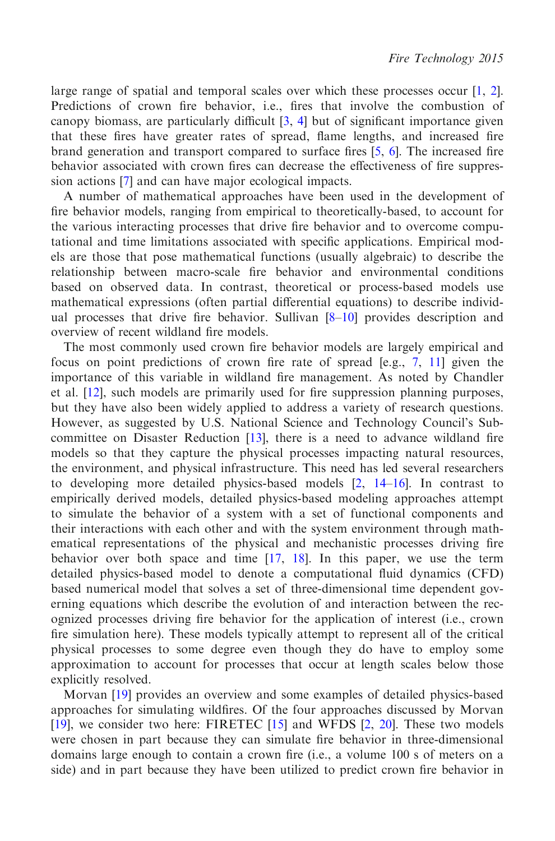large range of spatial and temporal scales over which these processes occur [\[1](#page-11-0), [2\]](#page-11-0). Predictions of crown fire behavior, i.e., fires that involve the combustion of canopy biomass, are particularly difficult  $[3, 4]$  $[3, 4]$  $[3, 4]$  but of significant importance given that these fires have greater rates of spread, flame lengths, and increased fire brand generation and transport compared to surface fires [[5,](#page-12-0) [6](#page-12-0)]. The increased fire behavior associated with crown fires can decrease the effectiveness of fire suppression actions [[7\]](#page-12-0) and can have major ecological impacts.

A number of mathematical approaches have been used in the development of fire behavior models, ranging from empirical to theoretically-based, to account for the various interacting processes that drive fire behavior and to overcome computational and time limitations associated with specific applications. Empirical models are those that pose mathematical functions (usually algebraic) to describe the relationship between macro-scale fire behavior and environmental conditions based on observed data. In contrast, theoretical or process-based models use mathematical expressions (often partial differential equations) to describe individual processes that drive fire behavior. Sullivan  $[8–10]$  $[8–10]$  provides description and overview of recent wildland fire models.

The most commonly used crown fire behavior models are largely empirical and focus on point predictions of crown fire rate of spread [e.g., [7](#page-12-0), [11\]](#page-12-0) given the importance of this variable in wildland fire management. As noted by Chandler et al. [[12\]](#page-12-0), such models are primarily used for fire suppression planning purposes, but they have also been widely applied to address a variety of research questions. However, as suggested by U.S. National Science and Technology Council's Subcommittee on Disaster Reduction [[13\]](#page-12-0), there is a need to advance wildland fire models so that they capture the physical processes impacting natural resources, the environment, and physical infrastructure. This need has led several researchers to developing more detailed physics-based models [[2,](#page-11-0) [14–16\]](#page-12-0). In contrast to empirically derived models, detailed physics-based modeling approaches attempt to simulate the behavior of a system with a set of functional components and their interactions with each other and with the system environment through mathematical representations of the physical and mechanistic processes driving fire behavior over both space and time [[17,](#page-12-0) [18\]](#page-12-0). In this paper, we use the term detailed physics-based model to denote a computational fluid dynamics (CFD) based numerical model that solves a set of three-dimensional time dependent governing equations which describe the evolution of and interaction between the recognized processes driving fire behavior for the application of interest (i.e., crown fire simulation here). These models typically attempt to represent all of the critical physical processes to some degree even though they do have to employ some approximation to account for processes that occur at length scales below those explicitly resolved.

Morvan [\[19](#page-12-0)] provides an overview and some examples of detailed physics-based approaches for simulating wildfires. Of the four approaches discussed by Morvan [\[19](#page-12-0)], we consider two here: FIRETEC [[15\]](#page-12-0) and WFDS [[2,](#page-11-0) [20\]](#page-12-0). These two models were chosen in part because they can simulate fire behavior in three-dimensional domains large enough to contain a crown fire (i.e., a volume 100 s of meters on a side) and in part because they have been utilized to predict crown fire behavior in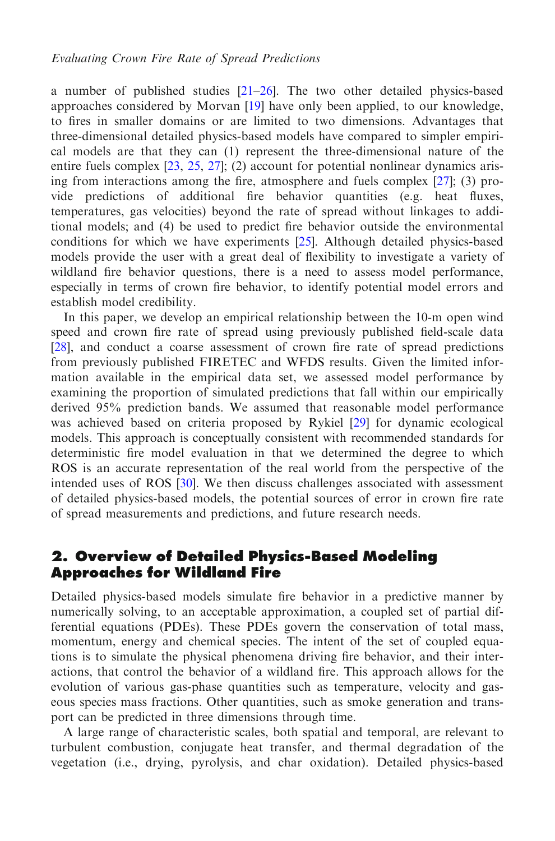a number of published studies  $[21–26]$  $[21–26]$  $[21–26]$ . The two other detailed physics-based approaches considered by Morvan [[19\]](#page-12-0) have only been applied, to our knowledge, to fires in smaller domains or are limited to two dimensions. Advantages that three-dimensional detailed physics-based models have compared to simpler empirical models are that they can (1) represent the three-dimensional nature of the entire fuels complex [[23,](#page-12-0) [25,](#page-13-0) [27\]](#page-13-0); (2) account for potential nonlinear dynamics arising from interactions among the fire, atmosphere and fuels complex [[27\]](#page-13-0); (3) provide predictions of additional fire behavior quantities (e.g. heat fluxes, temperatures, gas velocities) beyond the rate of spread without linkages to additional models; and (4) be used to predict fire behavior outside the environmental conditions for which we have experiments [[25\]](#page-13-0). Although detailed physics-based models provide the user with a great deal of flexibility to investigate a variety of wildland fire behavior questions, there is a need to assess model performance, especially in terms of crown fire behavior, to identify potential model errors and establish model credibility.

In this paper, we develop an empirical relationship between the 10-m open wind speed and crown fire rate of spread using previously published field-scale data [\[28](#page-13-0)], and conduct a coarse assessment of crown fire rate of spread predictions from previously published FIRETEC and WFDS results. Given the limited information available in the empirical data set, we assessed model performance by examining the proportion of simulated predictions that fall within our empirically derived 95% prediction bands. We assumed that reasonable model performance was achieved based on criteria proposed by Rykiel [[29\]](#page-13-0) for dynamic ecological models. This approach is conceptually consistent with recommended standards for deterministic fire model evaluation in that we determined the degree to which ROS is an accurate representation of the real world from the perspective of the intended uses of ROS [[30\]](#page-13-0). We then discuss challenges associated with assessment of detailed physics-based models, the potential sources of error in crown fire rate of spread measurements and predictions, and future research needs.

## 2. Overview of Detailed Physics-Based Modeling Approaches for Wildland Fire

Detailed physics-based models simulate fire behavior in a predictive manner by numerically solving, to an acceptable approximation, a coupled set of partial differential equations (PDEs). These PDEs govern the conservation of total mass, momentum, energy and chemical species. The intent of the set of coupled equations is to simulate the physical phenomena driving fire behavior, and their interactions, that control the behavior of a wildland fire. This approach allows for the evolution of various gas-phase quantities such as temperature, velocity and gaseous species mass fractions. Other quantities, such as smoke generation and transport can be predicted in three dimensions through time.

A large range of characteristic scales, both spatial and temporal, are relevant to turbulent combustion, conjugate heat transfer, and thermal degradation of the vegetation (i.e., drying, pyrolysis, and char oxidation). Detailed physics-based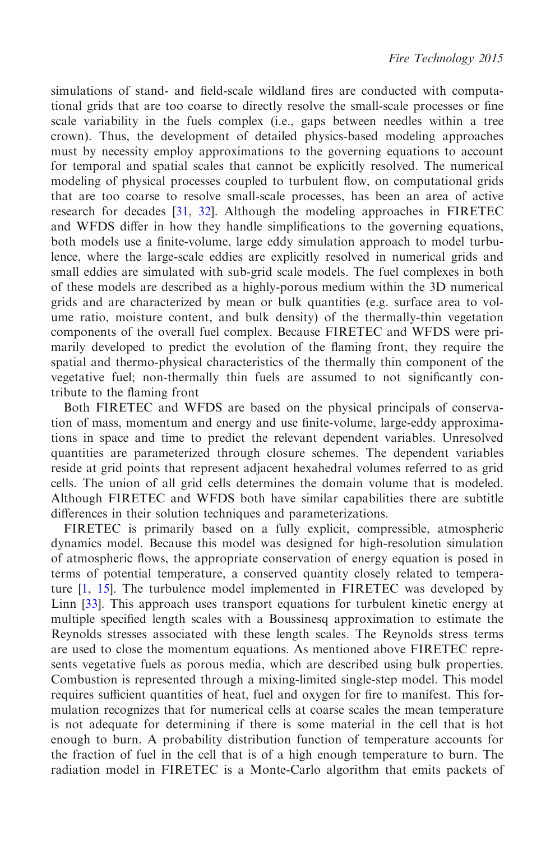simulations of stand- and field-scale wildland fires are conducted with computational grids that are too coarse to directly resolve the small-scale processes or fine scale variability in the fuels complex (i.e., gaps between needles within a tree crown). Thus, the development of detailed physics-based modeling approaches must by necessity employ approximations to the governing equations to account for temporal and spatial scales that cannot be explicitly resolved. The numerical modeling of physical processes coupled to turbulent flow, on computational grids that are too coarse to resolve small-scale processes, has been an area of active research for decades [\[31](#page-13-0), [32](#page-13-0)]. Although the modeling approaches in FIRETEC and WFDS differ in how they handle simplifications to the governing equations, both models use a finite-volume, large eddy simulation approach to model turbulence, where the large-scale eddies are explicitly resolved in numerical grids and small eddies are simulated with sub-grid scale models. The fuel complexes in both of these models are described as a highly-porous medium within the 3D numerical grids and are characterized by mean or bulk quantities (e.g. surface area to volume ratio, moisture content, and bulk density) of the thermally-thin vegetation components of the overall fuel complex. Because FIRETEC and WFDS were primarily developed to predict the evolution of the flaming front, they require the spatial and thermo-physical characteristics of the thermally thin component of the vegetative fuel; non-thermally thin fuels are assumed to not significantly contribute to the flaming front

Both FIRETEC and WFDS are based on the physical principals of conservation of mass, momentum and energy and use finite-volume, large-eddy approximations in space and time to predict the relevant dependent variables. Unresolved quantities are parameterized through closure schemes. The dependent variables reside at grid points that represent adjacent hexahedral volumes referred to as grid cells. The union of all grid cells determines the domain volume that is modeled. Although FIRETEC and WFDS both have similar capabilities there are subtitle differences in their solution techniques and parameterizations.

FIRETEC is primarily based on a fully explicit, compressible, atmospheric dynamics model. Because this model was designed for high-resolution simulation of atmospheric flows, the appropriate conservation of energy equation is posed in terms of potential temperature, a conserved quantity closely related to temperature [[1,](#page-11-0) [15\]](#page-12-0). The turbulence model implemented in FIRETEC was developed by Linn [[33\]](#page-13-0). This approach uses transport equations for turbulent kinetic energy at multiple specified length scales with a Boussinesq approximation to estimate the Reynolds stresses associated with these length scales. The Reynolds stress terms are used to close the momentum equations. As mentioned above FIRETEC represents vegetative fuels as porous media, which are described using bulk properties. Combustion is represented through a mixing-limited single-step model. This model requires sufficient quantities of heat, fuel and oxygen for fire to manifest. This formulation recognizes that for numerical cells at coarse scales the mean temperature is not adequate for determining if there is some material in the cell that is hot enough to burn. A probability distribution function of temperature accounts for the fraction of fuel in the cell that is of a high enough temperature to burn. The radiation model in FIRETEC is a Monte-Carlo algorithm that emits packets of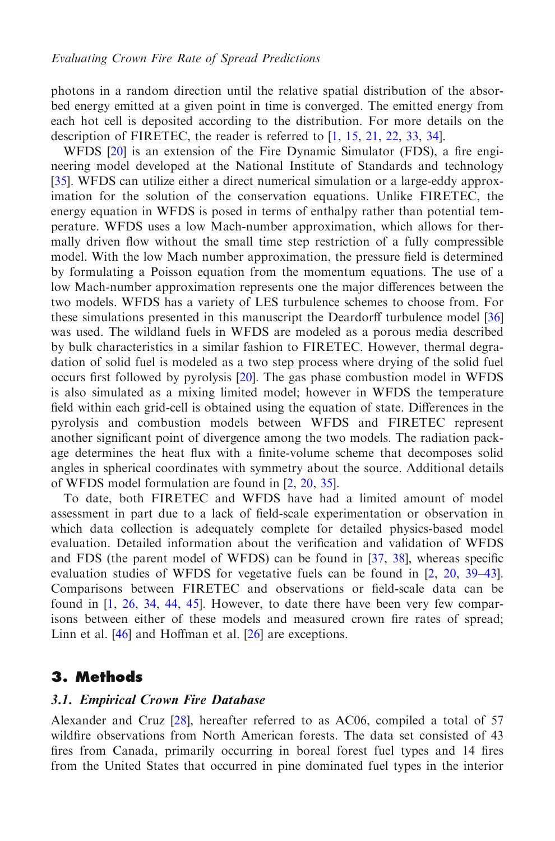photons in a random direction until the relative spatial distribution of the absorbed energy emitted at a given point in time is converged. The emitted energy from each hot cell is deposited according to the distribution. For more details on the description of FIRETEC, the reader is referred to [[1,](#page-11-0) [15,](#page-12-0) [21,](#page-12-0) [22,](#page-12-0) [33,](#page-13-0) [34\]](#page-13-0).

WFDS [[20\]](#page-12-0) is an extension of the Fire Dynamic Simulator (FDS), a fire engineering model developed at the National Institute of Standards and technology [\[35](#page-13-0)]. WFDS can utilize either a direct numerical simulation or a large-eddy approximation for the solution of the conservation equations. Unlike FIRETEC, the energy equation in WFDS is posed in terms of enthalpy rather than potential temperature. WFDS uses a low Mach-number approximation, which allows for thermally driven flow without the small time step restriction of a fully compressible model. With the low Mach number approximation, the pressure field is determined by formulating a Poisson equation from the momentum equations. The use of a low Mach-number approximation represents one the major differences between the two models. WFDS has a variety of LES turbulence schemes to choose from. For these simulations presented in this manuscript the Deardorff turbulence model [\[36](#page-13-0)] was used. The wildland fuels in WFDS are modeled as a porous media described by bulk characteristics in a similar fashion to FIRETEC. However, thermal degradation of solid fuel is modeled as a two step process where drying of the solid fuel occurs first followed by pyrolysis [[20\]](#page-12-0). The gas phase combustion model in WFDS is also simulated as a mixing limited model; however in WFDS the temperature field within each grid-cell is obtained using the equation of state. Differences in the pyrolysis and combustion models between WFDS and FIRETEC represent another significant point of divergence among the two models. The radiation package determines the heat flux with a finite-volume scheme that decomposes solid angles in spherical coordinates with symmetry about the source. Additional details of WFDS model formulation are found in [\[2](#page-11-0), [20,](#page-12-0) [35\]](#page-13-0).

To date, both FIRETEC and WFDS have had a limited amount of model assessment in part due to a lack of field-scale experimentation or observation in which data collection is adequately complete for detailed physics-based model evaluation. Detailed information about the verification and validation of WFDS and FDS (the parent model of WFDS) can be found in [\[37](#page-13-0), [38\]](#page-13-0), whereas specific evaluation studies of WFDS for vegetative fuels can be found in [\[2](#page-11-0), [20](#page-12-0), [39–](#page-13-0)[43\]](#page-14-0). Comparisons between FIRETEC and observations or field-scale data can be found in [\[1](#page-11-0), [26,](#page-13-0) [34,](#page-13-0) [44,](#page-14-0) [45\]](#page-14-0). However, to date there have been very few comparisons between either of these models and measured crown fire rates of spread; Linn et al. [[46](#page-14-0)] and Hoffman et al. [\[26](#page-13-0)] are exceptions.

## 3. Methods

### 3.1. Empirical Crown Fire Database

Alexander and Cruz [[28\]](#page-13-0), hereafter referred to as AC06, compiled a total of 57 wildfire observations from North American forests. The data set consisted of 43 fires from Canada, primarily occurring in boreal forest fuel types and 14 fires from the United States that occurred in pine dominated fuel types in the interior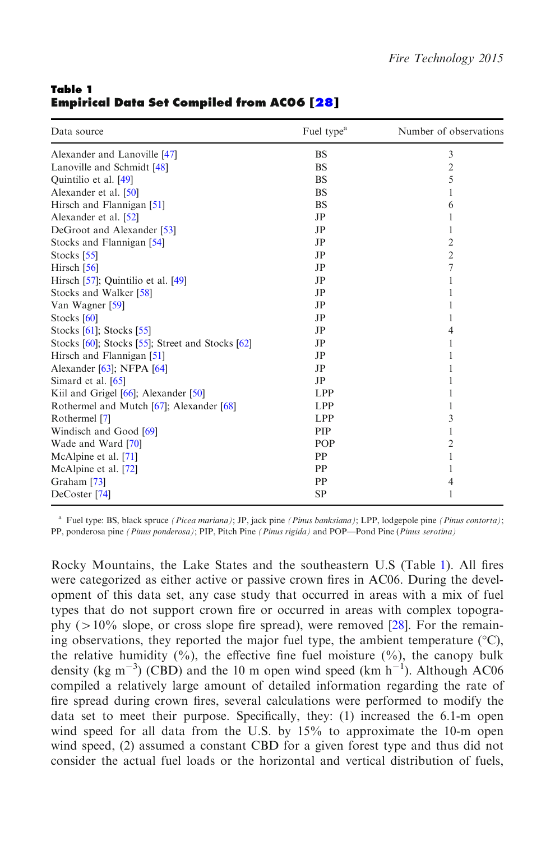| Data source                                      | Fuel type <sup>a</sup> | Number of observations |
|--------------------------------------------------|------------------------|------------------------|
| Alexander and Lanoville [47]                     | <b>BS</b>              | 3                      |
| Lanoville and Schmidt [48]                       | <b>BS</b>              | $\overline{c}$         |
| Quintilio et al. [49]                            | <b>BS</b>              | 5                      |
| Alexander et al. [50]                            | <b>BS</b>              | 1                      |
| Hirsch and Flannigan [51]                        | <b>BS</b>              | 6                      |
| Alexander et al. [52]                            | JP                     |                        |
| DeGroot and Alexander [53]                       | JP                     |                        |
| Stocks and Flannigan [54]                        | JP                     | $\overline{c}$         |
| Stocks $[55]$                                    | JP                     | $\overline{c}$         |
| Hirsch $[56]$                                    | JP                     | 7                      |
| Hirsch [57]; Quintilio et al. [49]               | JP                     |                        |
| Stocks and Walker [58]                           | JP                     |                        |
| Van Wagner [59]                                  | JP                     |                        |
| Stocks <sup>[60]</sup>                           | JP                     |                        |
| Stocks $[61]$ ; Stocks $[55]$                    | JP                     | 4                      |
| Stocks [60]; Stocks [55]; Street and Stocks [62] | JP                     |                        |
| Hirsch and Flannigan [51]                        | JP                     |                        |
| Alexander [63]; NFPA [64]                        | JP                     |                        |
| Simard et al. $[65]$                             | JP                     |                        |
| Kiil and Grigel [66]; Alexander [50]             | <b>LPP</b>             |                        |
| Rothermel and Mutch [67]; Alexander [68]         | <b>LPP</b>             |                        |
| Rothermel <sup>[7]</sup>                         | <b>LPP</b>             | 3                      |
| Windisch and Good [69]                           | PIP                    | 1                      |
| Wade and Ward [70]                               | POP                    | 2                      |
| McAlpine et al. [71]                             | PP                     | 1                      |
| McAlpine et al. [72]                             | PP                     |                        |
| Graham [73]                                      | PP                     | 4                      |
| DeCoster [74]                                    | SP                     | 1                      |

#### Table 1 Empirical Data Set Compiled from AC06 [\[28](#page-13-0)]

<sup>a</sup> Fuel type: BS, black spruce *(Picea mariana)*; JP, jack pine *(Pinus banksiana)*; LPP, lodgepole pine *(Pinus contorta)*; PP, ponderosa pine (Pinus ponderosa); PIP, Pitch Pine (Pinus rigida) and POP—Pond Pine (Pinus serotina)

Rocky Mountains, the Lake States and the southeastern U.S (Table 1). All fires were categorized as either active or passive crown fires in AC06. During the development of this data set, any case study that occurred in areas with a mix of fuel types that do not support crown fire or occurred in areas with complex topography  $(>10\%$  slope, or cross slope fire spread), were removed [[28](#page-13-0)]. For the remaining observations, they reported the major fuel type, the ambient temperature  $({}^{\circ}C)$ , the relative humidity  $(\frac{9}{6})$ , the effective fine fuel moisture  $(\frac{9}{6})$ , the canopy bulk density (kg m<sup>-3</sup>) (CBD) and the 10 m open wind speed (km h<sup>-1</sup>). Although AC06 compiled a relatively large amount of detailed information regarding the rate of fire spread during crown fires, several calculations were performed to modify the data set to meet their purpose. Specifically, they: (1) increased the 6.1-m open wind speed for all data from the U.S. by 15% to approximate the 10-m open wind speed, (2) assumed a constant CBD for a given forest type and thus did not consider the actual fuel loads or the horizontal and vertical distribution of fuels,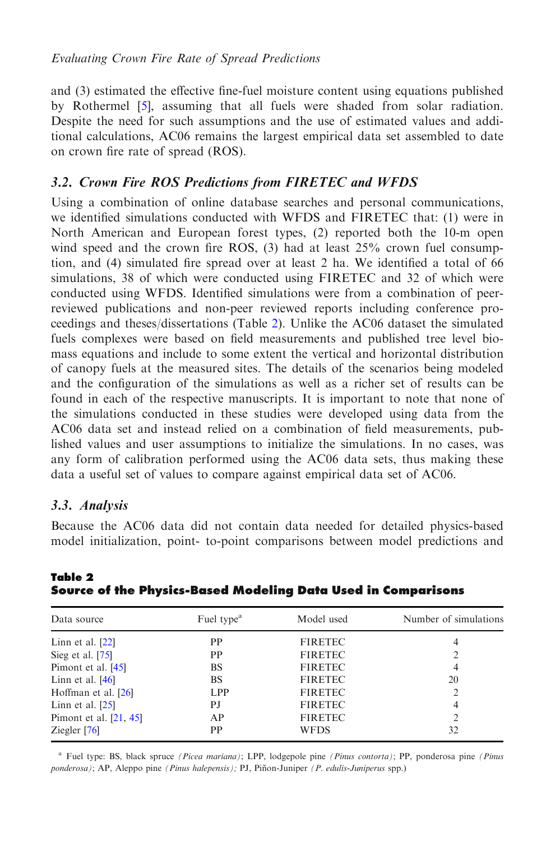and (3) estimated the effective fine-fuel moisture content using equations published by Rothermel [[5\]](#page-12-0), assuming that all fuels were shaded from solar radiation. Despite the need for such assumptions and the use of estimated values and additional calculations, AC06 remains the largest empirical data set assembled to date on crown fire rate of spread (ROS).

## 3.2. Crown Fire ROS Predictions from FIRETEC and WFDS

Using a combination of online database searches and personal communications, we identified simulations conducted with WFDS and FIRETEC that: (1) were in North American and European forest types, (2) reported both the 10-m open wind speed and the crown fire ROS, (3) had at least 25% crown fuel consumption, and (4) simulated fire spread over at least 2 ha. We identified a total of 66 simulations, 38 of which were conducted using FIRETEC and 32 of which were conducted using WFDS. Identified simulations were from a combination of peerreviewed publications and non-peer reviewed reports including conference proceedings and theses/dissertations (Table 2). Unlike the AC06 dataset the simulated fuels complexes were based on field measurements and published tree level biomass equations and include to some extent the vertical and horizontal distribution of canopy fuels at the measured sites. The details of the scenarios being modeled and the configuration of the simulations as well as a richer set of results can be found in each of the respective manuscripts. It is important to note that none of the simulations conducted in these studies were developed using data from the AC06 data set and instead relied on a combination of field measurements, published values and user assumptions to initialize the simulations. In no cases, was any form of calibration performed using the AC06 data sets, thus making these data a useful set of values to compare against empirical data set of AC06.

## 3.3. Analysis

Because the AC06 data did not contain data needed for detailed physics-based model initialization, point- to-point comparisons between model predictions and

| Data source              | Fuel type <sup>a</sup> | Model used     | Number of simulations |
|--------------------------|------------------------|----------------|-----------------------|
| Linn et al. $[22]$       | <b>PP</b>              | <b>FIRETEC</b> | 4                     |
| Sieg et al. $[75]$       | <b>PP</b>              | <b>FIRETEC</b> |                       |
| Pimont et al. $[45]$     | BS                     | <b>FIRETEC</b> | 4                     |
| Linn et al. $[46]$       | BS                     | <b>FIRETEC</b> | 20                    |
| Hoffman et al. [26]      | <b>LPP</b>             | <b>FIRETEC</b> |                       |
| Linn et al. $[25]$       | PJ                     | <b>FIRETEC</b> | $\overline{4}$        |
| Pimont et al. $[21, 45]$ | AP                     | <b>FIRETEC</b> |                       |
| Ziegler $[76]$           | <b>PP</b>              | <b>WFDS</b>    | 32                    |

#### Table 2 Source of the Physics-Based Modeling Data Used in Comparisons

<sup>a</sup> Fuel type: BS, black spruce (Picea mariana); LPP, lodgepole pine (Pinus contorta); PP, ponderosa pine (Pinus ponderosa); AP, Aleppo pine (Pinus halepensis); PJ, Piñon-Juniper (P. edulis-Juniperus spp.)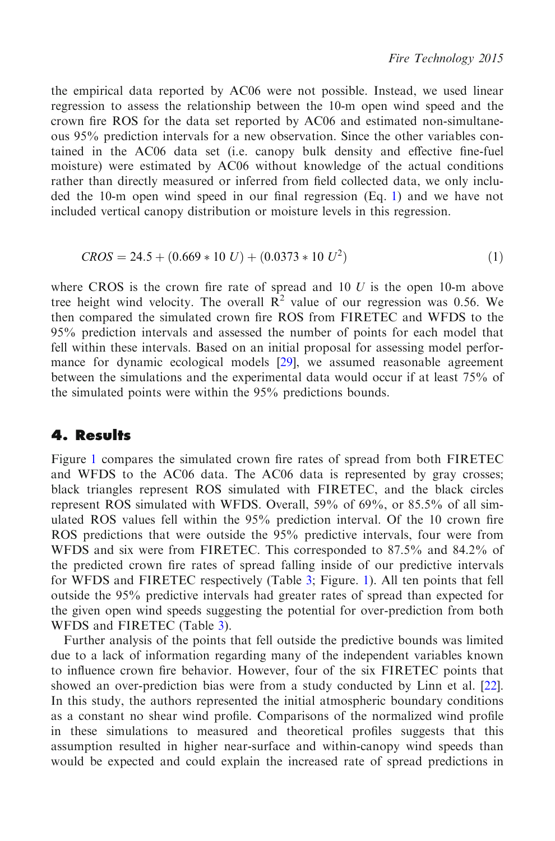the empirical data reported by AC06 were not possible. Instead, we used linear regression to assess the relationship between the 10-m open wind speed and the crown fire ROS for the data set reported by AC06 and estimated non-simultaneous 95% prediction intervals for a new observation. Since the other variables contained in the AC06 data set (i.e. canopy bulk density and effective fine-fuel moisture) were estimated by AC06 without knowledge of the actual conditions rather than directly measured or inferred from field collected data, we only included the 10-m open wind speed in our final regression (Eq. 1) and we have not included vertical canopy distribution or moisture levels in this regression.

$$
CROS = 24.5 + (0.669 * 10 U) + (0.0373 * 10 U2)
$$
\n(1)

where CROS is the crown fire rate of spread and  $10 U$  is the open 10-m above tree height wind velocity. The overall  $\mathbb{R}^2$  value of our regression was 0.56. We then compared the simulated crown fire ROS from FIRETEC and WFDS to the 95% prediction intervals and assessed the number of points for each model that fell within these intervals. Based on an initial proposal for assessing model performance for dynamic ecological models [\[29\]](#page-13-0), we assumed reasonable agreement between the simulations and the experimental data would occur if at least 75% of the simulated points were within the 95% predictions bounds.

# 4. Results

Figure [1](#page-8-0) compares the simulated crown fire rates of spread from both FIRETEC and WFDS to the AC06 data. The AC06 data is represented by gray crosses; black triangles represent ROS simulated with FIRETEC, and the black circles represent ROS simulated with WFDS. Overall, 59% of 69%, or 85.5% of all simulated ROS values fell within the 95% prediction interval. Of the 10 crown fire ROS predictions that were outside the 95% predictive intervals, four were from WFDS and six were from FIRETEC. This corresponded to 87.5% and 84.2% of the predicted crown fire rates of spread falling inside of our predictive intervals for WFDS and FIRETEC respectively (Table [3](#page-8-0); Figure. [1\)](#page-8-0). All ten points that fell outside the 95% predictive intervals had greater rates of spread than expected for the given open wind speeds suggesting the potential for over-prediction from both WFDS and FIRETEC (Table [3\)](#page-8-0).

Further analysis of the points that fell outside the predictive bounds was limited due to a lack of information regarding many of the independent variables known to influence crown fire behavior. However, four of the six FIRETEC points that showed an over-prediction bias were from a study conducted by Linn et al. [[22\]](#page-12-0). In this study, the authors represented the initial atmospheric boundary conditions as a constant no shear wind profile. Comparisons of the normalized wind profile in these simulations to measured and theoretical profiles suggests that this assumption resulted in higher near-surface and within-canopy wind speeds than would be expected and could explain the increased rate of spread predictions in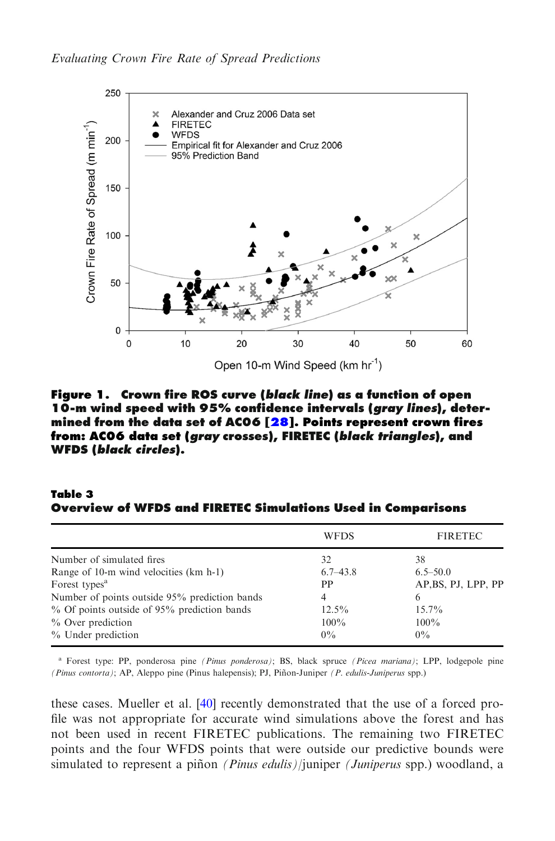<span id="page-8-0"></span>

Figure 1. Crown fire ROS curve (black line) as a function of open 10-m wind speed with 95% confidence intervals (gray lines), deter-mined from the data set of ACO6 [[28\]](#page-13-0). Points represent crown fires from: AC06 data set (gray crosses), FIRETEC (black triangles), and WFDS (black circles).

#### Table 3 Overview of WFDS and FIRETEC Simulations Used in Comparisons

|                                               | WFDS         | <b>FIRETEC</b>      |
|-----------------------------------------------|--------------|---------------------|
| Number of simulated fires                     | 32           | 38                  |
| Range of 10-m wind velocities (km h-1)        | $6.7 - 43.8$ | $6.5 - 50.0$        |
| Forest types <sup>a</sup>                     | PP           | AP, BS, PJ, LPP, PP |
| Number of points outside 95% prediction bands | 4            | 6                   |
| % Of points outside of 95% prediction bands   | $12.5\%$     | $15.7\%$            |
| % Over prediction                             | $100\%$      | $100\%$             |
| % Under prediction                            | $0\%$        | $0\%$               |

<sup>a</sup> Forest type: PP, ponderosa pine *(Pinus ponderosa)*; BS, black spruce *(Picea mariana)*; LPP, lodgepole pine (Pinus contorta); AP, Aleppo pine (Pinus halepensis); PJ, Piñon-Juniper (P. edulis-Juniperus spp.)

these cases. Mueller et al. [\[40](#page-13-0)] recently demonstrated that the use of a forced profile was not appropriate for accurate wind simulations above the forest and has not been used in recent FIRETEC publications. The remaining two FIRETEC points and the four WFDS points that were outside our predictive bounds were simulated to represent a pinon *(Pinus edulis)*/juniper *(Juniperus* spp.) woodland, a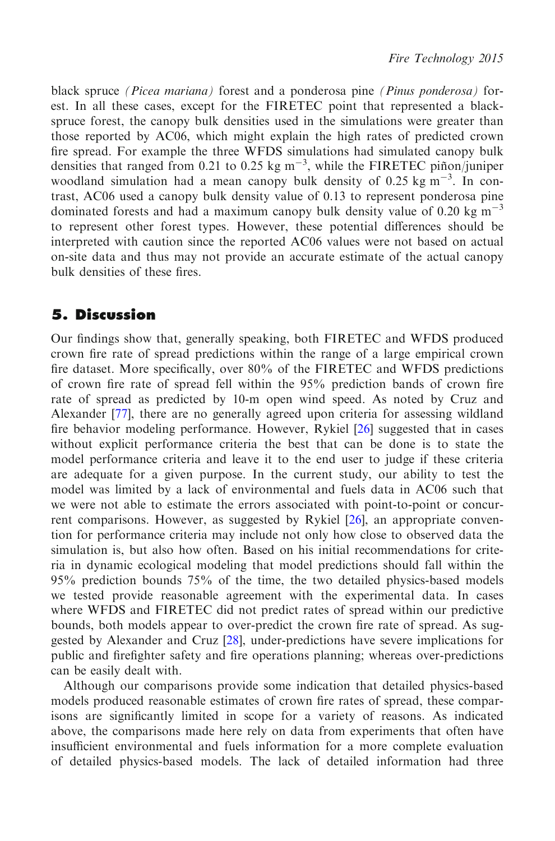black spruce *(Picea mariana)* forest and a ponderosa pine *(Pinus ponderosa)* forest. In all these cases, except for the FIRETEC point that represented a blackspruce forest, the canopy bulk densities used in the simulations were greater than those reported by AC06, which might explain the high rates of predicted crown fire spread. For example the three WFDS simulations had simulated canopy bulk densities that ranged from 0.21 to 0.25 kg  $m^{-3}$ , while the FIRETEC piñon/juniper woodland simulation had a mean canopy bulk density of  $0.25 \text{ kg m}^{-3}$ . In contrast, AC06 used a canopy bulk density value of 0.13 to represent ponderosa pine dominated forests and had a maximum canopy bulk density value of 0.20 kg  $m^{-3}$ to represent other forest types. However, these potential differences should be interpreted with caution since the reported AC06 values were not based on actual on-site data and thus may not provide an accurate estimate of the actual canopy bulk densities of these fires.

## 5. Discussion

Our findings show that, generally speaking, both FIRETEC and WFDS produced crown fire rate of spread predictions within the range of a large empirical crown fire dataset. More specifically, over 80% of the FIRETEC and WFDS predictions of crown fire rate of spread fell within the 95% prediction bands of crown fire rate of spread as predicted by 10-m open wind speed. As noted by Cruz and Alexander [\[77](#page-16-0)], there are no generally agreed upon criteria for assessing wildland fire behavior modeling performance. However, Rykiel [\[26](#page-13-0)] suggested that in cases without explicit performance criteria the best that can be done is to state the model performance criteria and leave it to the end user to judge if these criteria are adequate for a given purpose. In the current study, our ability to test the model was limited by a lack of environmental and fuels data in AC06 such that we were not able to estimate the errors associated with point-to-point or concurrent comparisons. However, as suggested by Rykiel [\[26](#page-13-0)], an appropriate convention for performance criteria may include not only how close to observed data the simulation is, but also how often. Based on his initial recommendations for criteria in dynamic ecological modeling that model predictions should fall within the 95% prediction bounds 75% of the time, the two detailed physics-based models we tested provide reasonable agreement with the experimental data. In cases where WFDS and FIRETEC did not predict rates of spread within our predictive bounds, both models appear to over-predict the crown fire rate of spread. As suggested by Alexander and Cruz [\[28](#page-13-0)], under-predictions have severe implications for public and firefighter safety and fire operations planning; whereas over-predictions can be easily dealt with.

Although our comparisons provide some indication that detailed physics-based models produced reasonable estimates of crown fire rates of spread, these comparisons are significantly limited in scope for a variety of reasons. As indicated above, the comparisons made here rely on data from experiments that often have insufficient environmental and fuels information for a more complete evaluation of detailed physics-based models. The lack of detailed information had three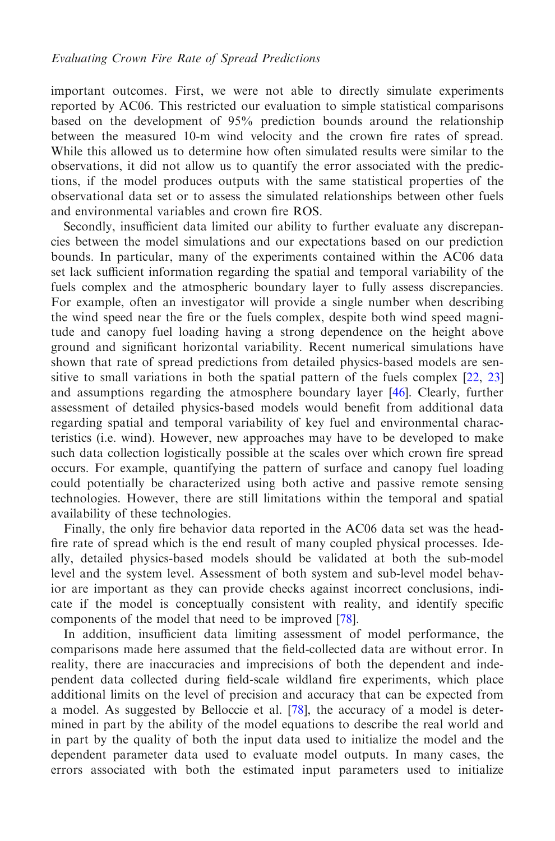important outcomes. First, we were not able to directly simulate experiments reported by AC06. This restricted our evaluation to simple statistical comparisons based on the development of 95% prediction bounds around the relationship between the measured 10-m wind velocity and the crown fire rates of spread. While this allowed us to determine how often simulated results were similar to the observations, it did not allow us to quantify the error associated with the predictions, if the model produces outputs with the same statistical properties of the observational data set or to assess the simulated relationships between other fuels and environmental variables and crown fire ROS.

Secondly, insufficient data limited our ability to further evaluate any discrepancies between the model simulations and our expectations based on our prediction bounds. In particular, many of the experiments contained within the AC06 data set lack sufficient information regarding the spatial and temporal variability of the fuels complex and the atmospheric boundary layer to fully assess discrepancies. For example, often an investigator will provide a single number when describing the wind speed near the fire or the fuels complex, despite both wind speed magnitude and canopy fuel loading having a strong dependence on the height above ground and significant horizontal variability. Recent numerical simulations have shown that rate of spread predictions from detailed physics-based models are sensitive to small variations in both the spatial pattern of the fuels complex [[22,](#page-12-0) [23](#page-12-0)] and assumptions regarding the atmosphere boundary layer [[46\]](#page-14-0). Clearly, further assessment of detailed physics-based models would benefit from additional data regarding spatial and temporal variability of key fuel and environmental characteristics (i.e. wind). However, new approaches may have to be developed to make such data collection logistically possible at the scales over which crown fire spread occurs. For example, quantifying the pattern of surface and canopy fuel loading could potentially be characterized using both active and passive remote sensing technologies. However, there are still limitations within the temporal and spatial availability of these technologies.

Finally, the only fire behavior data reported in the AC06 data set was the headfire rate of spread which is the end result of many coupled physical processes. Ideally, detailed physics-based models should be validated at both the sub-model level and the system level. Assessment of both system and sub-level model behavior are important as they can provide checks against incorrect conclusions, indicate if the model is conceptually consistent with reality, and identify specific components of the model that need to be improved [\[78](#page-16-0)].

In addition, insufficient data limiting assessment of model performance, the comparisons made here assumed that the field-collected data are without error. In reality, there are inaccuracies and imprecisions of both the dependent and independent data collected during field-scale wildland fire experiments, which place additional limits on the level of precision and accuracy that can be expected from a model. As suggested by Belloccie et al. [[78\]](#page-16-0), the accuracy of a model is determined in part by the ability of the model equations to describe the real world and in part by the quality of both the input data used to initialize the model and the dependent parameter data used to evaluate model outputs. In many cases, the errors associated with both the estimated input parameters used to initialize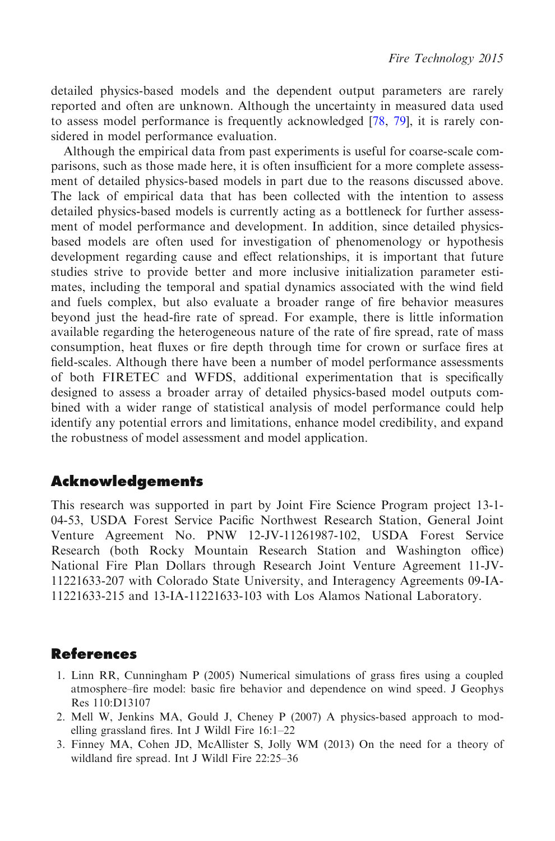<span id="page-11-0"></span>detailed physics-based models and the dependent output parameters are rarely reported and often are unknown. Although the uncertainty in measured data used to assess model performance is frequently acknowledged [\[78](#page-16-0), [79\]](#page-16-0), it is rarely considered in model performance evaluation.

Although the empirical data from past experiments is useful for coarse-scale comparisons, such as those made here, it is often insufficient for a more complete assessment of detailed physics-based models in part due to the reasons discussed above. The lack of empirical data that has been collected with the intention to assess detailed physics-based models is currently acting as a bottleneck for further assessment of model performance and development. In addition, since detailed physicsbased models are often used for investigation of phenomenology or hypothesis development regarding cause and effect relationships, it is important that future studies strive to provide better and more inclusive initialization parameter estimates, including the temporal and spatial dynamics associated with the wind field and fuels complex, but also evaluate a broader range of fire behavior measures beyond just the head-fire rate of spread. For example, there is little information available regarding the heterogeneous nature of the rate of fire spread, rate of mass consumption, heat fluxes or fire depth through time for crown or surface fires at field-scales. Although there have been a number of model performance assessments of both FIRETEC and WFDS, additional experimentation that is specifically designed to assess a broader array of detailed physics-based model outputs combined with a wider range of statistical analysis of model performance could help identify any potential errors and limitations, enhance model credibility, and expand the robustness of model assessment and model application.

# Acknowledgements

This research was supported in part by Joint Fire Science Program project 13-1- 04-53, USDA Forest Service Pacific Northwest Research Station, General Joint Venture Agreement No. PNW 12-JV-11261987-102, USDA Forest Service Research (both Rocky Mountain Research Station and Washington office) National Fire Plan Dollars through Research Joint Venture Agreement 11-JV-11221633-207 with Colorado State University, and Interagency Agreements 09-IA-11221633-215 and 13-IA-11221633-103 with Los Alamos National Laboratory.

## References

- 1. Linn RR, Cunningham P (2005) Numerical simulations of grass fires using a coupled atmosphere–fire model: basic fire behavior and dependence on wind speed. J Geophys Res 110:D13107
- 2. Mell W, Jenkins MA, Gould J, Cheney P (2007) A physics-based approach to modelling grassland fires. Int J Wildl Fire 16:1–22
- 3. Finney MA, Cohen JD, McAllister S, Jolly WM (2013) On the need for a theory of wildland fire spread. Int J Wildl Fire 22:25–36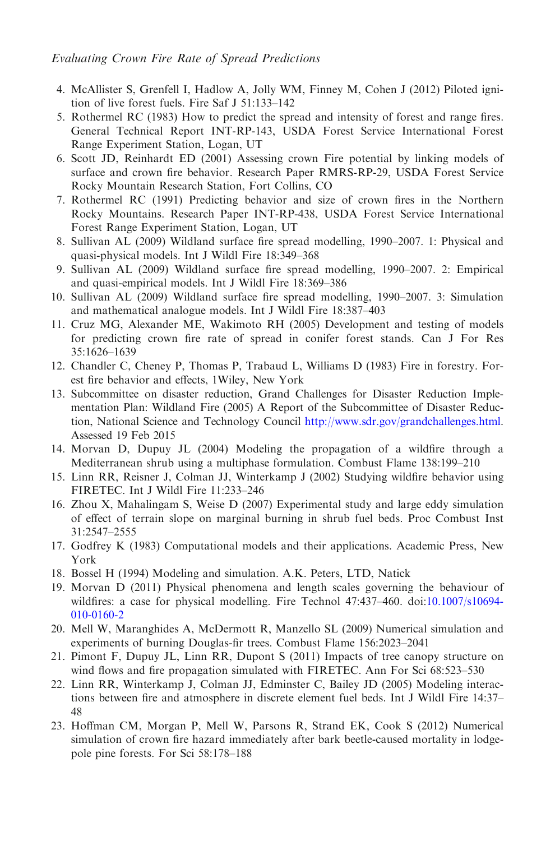- <span id="page-12-0"></span>4. McAllister S, Grenfell I, Hadlow A, Jolly WM, Finney M, Cohen J (2012) Piloted ignition of live forest fuels. Fire Saf J 51:133–142
- 5. Rothermel RC (1983) How to predict the spread and intensity of forest and range fires. General Technical Report INT-RP-143, USDA Forest Service International Forest Range Experiment Station, Logan, UT
- 6. Scott JD, Reinhardt ED (2001) Assessing crown Fire potential by linking models of surface and crown fire behavior. Research Paper RMRS-RP-29, USDA Forest Service Rocky Mountain Research Station, Fort Collins, CO
- 7. Rothermel RC (1991) Predicting behavior and size of crown fires in the Northern Rocky Mountains. Research Paper INT-RP-438, USDA Forest Service International Forest Range Experiment Station, Logan, UT
- 8. Sullivan AL (2009) Wildland surface fire spread modelling, 1990–2007. 1: Physical and quasi-physical models. Int J Wildl Fire 18:349–368
- 9. Sullivan AL (2009) Wildland surface fire spread modelling, 1990–2007. 2: Empirical and quasi-empirical models. Int J Wildl Fire 18:369–386
- 10. Sullivan AL (2009) Wildland surface fire spread modelling, 1990–2007. 3: Simulation and mathematical analogue models. Int J Wildl Fire 18:387–403
- 11. Cruz MG, Alexander ME, Wakimoto RH (2005) Development and testing of models for predicting crown fire rate of spread in conifer forest stands. Can J For Res 35:1626–1639
- 12. Chandler C, Cheney P, Thomas P, Trabaud L, Williams D (1983) Fire in forestry. Forest fire behavior and effects, 1Wiley, New York
- 13. Subcommittee on disaster reduction, Grand Challenges for Disaster Reduction Implementation Plan: Wildland Fire (2005) A Report of the Subcommittee of Disaster Reduction, National Science and Technology Council [http://www.sdr.gov/grandchallenges.html.](http://www.sdr.gov/grandchallenges.html) Assessed 19 Feb 2015
- 14. Morvan D, Dupuy JL (2004) Modeling the propagation of a wildfire through a Mediterranean shrub using a multiphase formulation. Combust Flame 138:199–210
- 15. Linn RR, Reisner J, Colman JJ, Winterkamp J (2002) Studying wildfire behavior using FIRETEC. Int J Wildl Fire 11:233–246
- 16. Zhou X, Mahalingam S, Weise D (2007) Experimental study and large eddy simulation of effect of terrain slope on marginal burning in shrub fuel beds. Proc Combust Inst 31:2547–2555
- 17. Godfrey K (1983) Computational models and their applications. Academic Press, New York
- 18. Bossel H (1994) Modeling and simulation. A.K. Peters, LTD, Natick
- 19. Morvan D (2011) Physical phenomena and length scales governing the behaviour of wildfires: a case for physical modelling. Fire Technol 47:437-460. doi:[10.1007/s10694-](http://dx.doi.org/10.1007/s10694-010-0160-2) [010-0160-2](http://dx.doi.org/10.1007/s10694-010-0160-2)
- 20. Mell W, Maranghides A, McDermott R, Manzello SL (2009) Numerical simulation and experiments of burning Douglas-fir trees. Combust Flame 156:2023–2041
- 21. Pimont F, Dupuy JL, Linn RR, Dupont S (2011) Impacts of tree canopy structure on wind flows and fire propagation simulated with FIRETEC. Ann For Sci 68:523–530
- 22. Linn RR, Winterkamp J, Colman JJ, Edminster C, Bailey JD (2005) Modeling interactions between fire and atmosphere in discrete element fuel beds. Int J Wildl Fire 14:37– 48
- 23. Hoffman CM, Morgan P, Mell W, Parsons R, Strand EK, Cook S (2012) Numerical simulation of crown fire hazard immediately after bark beetle-caused mortality in lodgepole pine forests. For Sci 58:178–188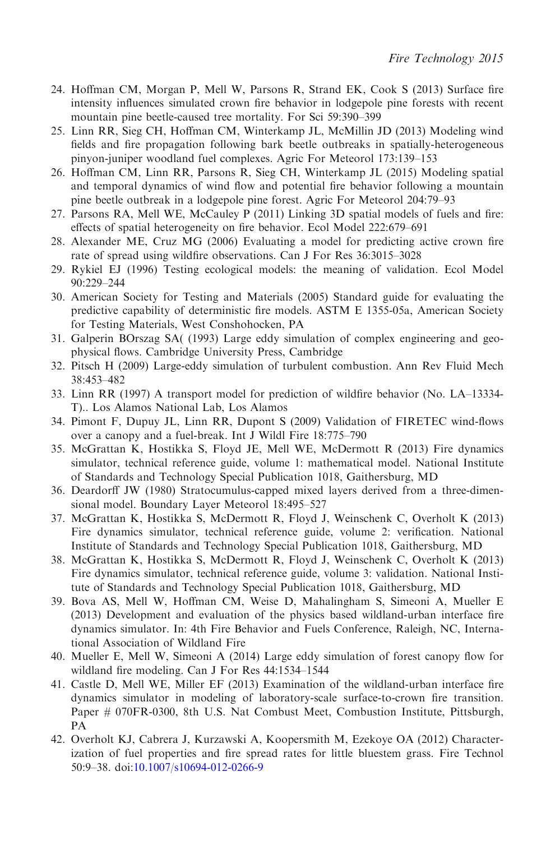- <span id="page-13-0"></span>24. Hoffman CM, Morgan P, Mell W, Parsons R, Strand EK, Cook S (2013) Surface fire intensity influences simulated crown fire behavior in lodgepole pine forests with recent mountain pine beetle-caused tree mortality. For Sci 59:390–399
- 25. Linn RR, Sieg CH, Hoffman CM, Winterkamp JL, McMillin JD (2013) Modeling wind fields and fire propagation following bark beetle outbreaks in spatially-heterogeneous pinyon-juniper woodland fuel complexes. Agric For Meteorol 173:139–153
- 26. Hoffman CM, Linn RR, Parsons R, Sieg CH, Winterkamp JL (2015) Modeling spatial and temporal dynamics of wind flow and potential fire behavior following a mountain pine beetle outbreak in a lodgepole pine forest. Agric For Meteorol 204:79–93
- 27. Parsons RA, Mell WE, McCauley P (2011) Linking 3D spatial models of fuels and fire: effects of spatial heterogeneity on fire behavior. Ecol Model 222:679–691
- 28. Alexander ME, Cruz MG (2006) Evaluating a model for predicting active crown fire rate of spread using wildfire observations. Can J For Res 36:3015–3028
- 29. Rykiel EJ (1996) Testing ecological models: the meaning of validation. Ecol Model 90:229–244
- 30. American Society for Testing and Materials (2005) Standard guide for evaluating the predictive capability of deterministic fire models. ASTM E 1355-05a, American Society for Testing Materials, West Conshohocken, PA
- 31. Galperin BOrszag SA( (1993) Large eddy simulation of complex engineering and geophysical flows. Cambridge University Press, Cambridge
- 32. Pitsch H (2009) Large-eddy simulation of turbulent combustion. Ann Rev Fluid Mech 38:453–482
- 33. Linn RR (1997) A transport model for prediction of wildfire behavior (No. LA–13334- T).. Los Alamos National Lab, Los Alamos
- 34. Pimont F, Dupuy JL, Linn RR, Dupont S (2009) Validation of FIRETEC wind-flows over a canopy and a fuel-break. Int J Wildl Fire 18:775–790
- 35. McGrattan K, Hostikka S, Floyd JE, Mell WE, McDermott R (2013) Fire dynamics simulator, technical reference guide, volume 1: mathematical model. National Institute of Standards and Technology Special Publication 1018, Gaithersburg, MD
- 36. Deardorff JW (1980) Stratocumulus-capped mixed layers derived from a three-dimensional model. Boundary Layer Meteorol 18:495–527
- 37. McGrattan K, Hostikka S, McDermott R, Floyd J, Weinschenk C, Overholt K (2013) Fire dynamics simulator, technical reference guide, volume 2: verification. National Institute of Standards and Technology Special Publication 1018, Gaithersburg, MD
- 38. McGrattan K, Hostikka S, McDermott R, Floyd J, Weinschenk C, Overholt K (2013) Fire dynamics simulator, technical reference guide, volume 3: validation. National Institute of Standards and Technology Special Publication 1018, Gaithersburg, MD
- 39. Bova AS, Mell W, Hoffman CM, Weise D, Mahalingham S, Simeoni A, Mueller E (2013) Development and evaluation of the physics based wildland-urban interface fire dynamics simulator. In: 4th Fire Behavior and Fuels Conference, Raleigh, NC, International Association of Wildland Fire
- 40. Mueller E, Mell W, Simeoni A (2014) Large eddy simulation of forest canopy flow for wildland fire modeling. Can J For Res 44:1534–1544
- 41. Castle D, Mell WE, Miller EF (2013) Examination of the wildland-urban interface fire dynamics simulator in modeling of laboratory-scale surface-to-crown fire transition. Paper # 070FR-0300, 8th U.S. Nat Combust Meet, Combustion Institute, Pittsburgh, PA
- 42. Overholt KJ, Cabrera J, Kurzawski A, Koopersmith M, Ezekoye OA (2012) Characterization of fuel properties and fire spread rates for little bluestem grass. Fire Technol 50:9–38. doi:[10.1007/s10694-012-0266-9](http://dx.doi.org/10.1007/s10694-012-0266-9)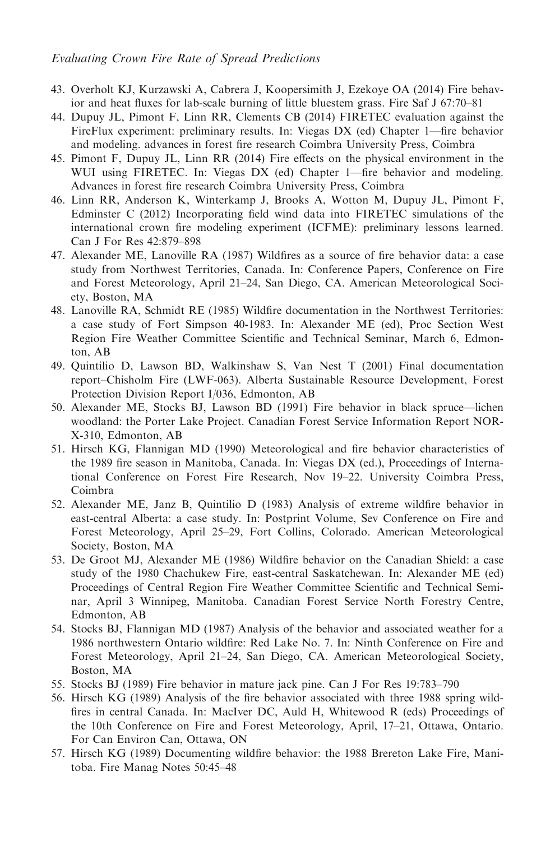- <span id="page-14-0"></span>43. Overholt KJ, Kurzawski A, Cabrera J, Koopersimith J, Ezekoye OA (2014) Fire behavior and heat fluxes for lab-scale burning of little bluestem grass. Fire Saf J 67:70–81
- 44. Dupuy JL, Pimont F, Linn RR, Clements CB (2014) FIRETEC evaluation against the FireFlux experiment: preliminary results. In: Viegas DX (ed) Chapter 1—fire behavior and modeling. advances in forest fire research Coimbra University Press, Coimbra
- 45. Pimont F, Dupuy JL, Linn RR (2014) Fire effects on the physical environment in the WUI using FIRETEC. In: Viegas DX (ed) Chapter 1—fire behavior and modeling. Advances in forest fire research Coimbra University Press, Coimbra
- 46. Linn RR, Anderson K, Winterkamp J, Brooks A, Wotton M, Dupuy JL, Pimont F, Edminster C (2012) Incorporating field wind data into FIRETEC simulations of the international crown fire modeling experiment (ICFME): preliminary lessons learned. Can J For Res 42:879–898
- 47. Alexander ME, Lanoville RA (1987) Wildfires as a source of fire behavior data: a case study from Northwest Territories, Canada. In: Conference Papers, Conference on Fire and Forest Meteorology, April 21–24, San Diego, CA. American Meteorological Society, Boston, MA
- 48. Lanoville RA, Schmidt RE (1985) Wildfire documentation in the Northwest Territories: a case study of Fort Simpson 40-1983. In: Alexander ME (ed), Proc Section West Region Fire Weather Committee Scientific and Technical Seminar, March 6, Edmonton, AB
- 49. Quintilio D, Lawson BD, Walkinshaw S, Van Nest T (2001) Final documentation report–Chisholm Fire (LWF-063). Alberta Sustainable Resource Development, Forest Protection Division Report I/036, Edmonton, AB
- 50. Alexander ME, Stocks BJ, Lawson BD (1991) Fire behavior in black spruce—lichen woodland: the Porter Lake Project. Canadian Forest Service Information Report NOR-X-310, Edmonton, AB
- 51. Hirsch KG, Flannigan MD (1990) Meteorological and fire behavior characteristics of the 1989 fire season in Manitoba, Canada. In: Viegas DX (ed.), Proceedings of International Conference on Forest Fire Research, Nov 19–22. University Coimbra Press, Coimbra
- 52. Alexander ME, Janz B, Quintilio D (1983) Analysis of extreme wildfire behavior in east-central Alberta: a case study. In: Postprint Volume, Sev Conference on Fire and Forest Meteorology, April 25–29, Fort Collins, Colorado. American Meteorological Society, Boston, MA
- 53. De Groot MJ, Alexander ME (1986) Wildfire behavior on the Canadian Shield: a case study of the 1980 Chachukew Fire, east-central Saskatchewan. In: Alexander ME (ed) Proceedings of Central Region Fire Weather Committee Scientific and Technical Seminar, April 3 Winnipeg, Manitoba. Canadian Forest Service North Forestry Centre, Edmonton, AB
- 54. Stocks BJ, Flannigan MD (1987) Analysis of the behavior and associated weather for a 1986 northwestern Ontario wildfire: Red Lake No. 7. In: Ninth Conference on Fire and Forest Meteorology, April 21–24, San Diego, CA. American Meteorological Society, Boston, MA
- 55. Stocks BJ (1989) Fire behavior in mature jack pine. Can J For Res 19:783–790
- 56. Hirsch KG (1989) Analysis of the fire behavior associated with three 1988 spring wildfires in central Canada. In: MacIver DC, Auld H, Whitewood R (eds) Proceedings of the 10th Conference on Fire and Forest Meteorology, April, 17–21, Ottawa, Ontario. For Can Environ Can, Ottawa, ON
- 57. Hirsch KG (1989) Documenting wildfire behavior: the 1988 Brereton Lake Fire, Manitoba. Fire Manag Notes 50:45–48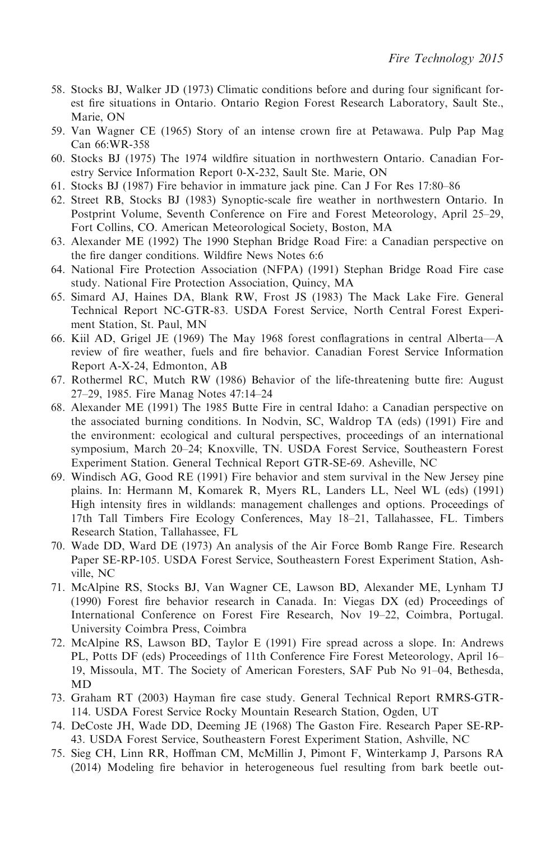- <span id="page-15-0"></span>58. Stocks BJ, Walker JD (1973) Climatic conditions before and during four significant forest fire situations in Ontario. Ontario Region Forest Research Laboratory, Sault Ste., Marie, ON
- 59. Van Wagner CE (1965) Story of an intense crown fire at Petawawa. Pulp Pap Mag Can 66:WR-358
- 60. Stocks BJ (1975) The 1974 wildfire situation in northwestern Ontario. Canadian Forestry Service Information Report 0-X-232, Sault Ste. Marie, ON
- 61. Stocks BJ (1987) Fire behavior in immature jack pine. Can J For Res 17:80–86
- 62. Street RB, Stocks BJ (1983) Synoptic-scale fire weather in northwestern Ontario. In Postprint Volume, Seventh Conference on Fire and Forest Meteorology, April 25–29, Fort Collins, CO. American Meteorological Society, Boston, MA
- 63. Alexander ME (1992) The 1990 Stephan Bridge Road Fire: a Canadian perspective on the fire danger conditions. Wildfire News Notes 6:6
- 64. National Fire Protection Association (NFPA) (1991) Stephan Bridge Road Fire case study. National Fire Protection Association, Quincy, MA
- 65. Simard AJ, Haines DA, Blank RW, Frost JS (1983) The Mack Lake Fire. General Technical Report NC-GTR-83. USDA Forest Service, North Central Forest Experiment Station, St. Paul, MN
- 66. Kiil AD, Grigel JE (1969) The May 1968 forest conflagrations in central Alberta—A review of fire weather, fuels and fire behavior. Canadian Forest Service Information Report A-X-24, Edmonton, AB
- 67. Rothermel RC, Mutch RW (1986) Behavior of the life-threatening butte fire: August 27–29, 1985. Fire Manag Notes 47:14–24
- 68. Alexander ME (1991) The 1985 Butte Fire in central Idaho: a Canadian perspective on the associated burning conditions. In Nodvin, SC, Waldrop TA (eds) (1991) Fire and the environment: ecological and cultural perspectives, proceedings of an international symposium, March 20–24; Knoxville, TN. USDA Forest Service, Southeastern Forest Experiment Station. General Technical Report GTR-SE-69. Asheville, NC
- 69. Windisch AG, Good RE (1991) Fire behavior and stem survival in the New Jersey pine plains. In: Hermann M, Komarek R, Myers RL, Landers LL, Neel WL (eds) (1991) High intensity fires in wildlands: management challenges and options. Proceedings of 17th Tall Timbers Fire Ecology Conferences, May 18–21, Tallahassee, FL. Timbers Research Station, Tallahassee, FL
- 70. Wade DD, Ward DE (1973) An analysis of the Air Force Bomb Range Fire. Research Paper SE-RP-105. USDA Forest Service, Southeastern Forest Experiment Station, Ashville, NC
- 71. McAlpine RS, Stocks BJ, Van Wagner CE, Lawson BD, Alexander ME, Lynham TJ (1990) Forest fire behavior research in Canada. In: Viegas DX (ed) Proceedings of International Conference on Forest Fire Research, Nov 19–22, Coimbra, Portugal. University Coimbra Press, Coimbra
- 72. McAlpine RS, Lawson BD, Taylor E (1991) Fire spread across a slope. In: Andrews PL, Potts DF (eds) Proceedings of 11th Conference Fire Forest Meteorology, April 16– 19, Missoula, MT. The Society of American Foresters, SAF Pub No 91–04, Bethesda, MD
- 73. Graham RT (2003) Hayman fire case study. General Technical Report RMRS-GTR-114. USDA Forest Service Rocky Mountain Research Station, Ogden, UT
- 74. DeCoste JH, Wade DD, Deeming JE (1968) The Gaston Fire. Research Paper SE-RP-43. USDA Forest Service, Southeastern Forest Experiment Station, Ashville, NC
- 75. Sieg CH, Linn RR, Hoffman CM, McMillin J, Pimont F, Winterkamp J, Parsons RA (2014) Modeling fire behavior in heterogeneous fuel resulting from bark beetle out-